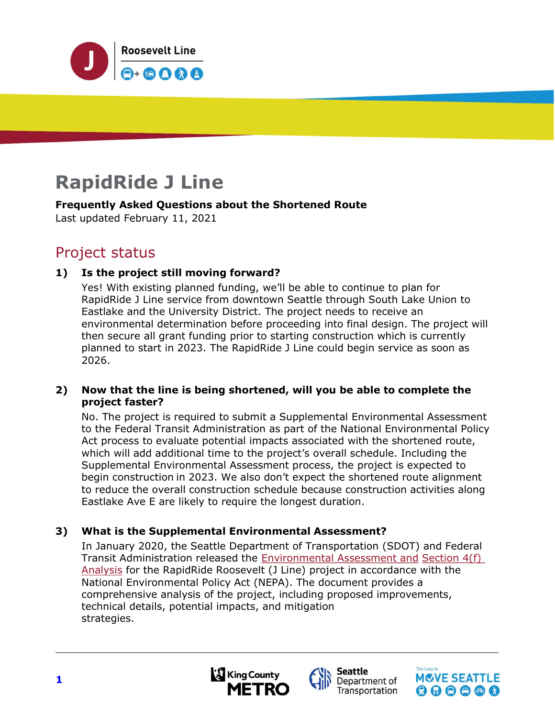

# RapidRide J Line

#### Frequently Asked Questions about the Shortened Route

Last updated February 11, 2021

# Project status

# 1) Is the project still moving forward?

Yes! With existing planned funding, we'll be able to continue to plan for RapidRide J Line service from downtown Seattle through South Lake Union to Eastlake and the University District. The project needs to receive an environmental determination before proceeding into final design. The project will then secure all grant funding prior to starting construction which is currently planned to start in 2023. The RapidRide J Line could begin service as soon as 2026.

#### 2) Now that the line is being shortened, will you be able to complete the project faster?

No. The project is required to submit a Supplemental Environmental Assessment to the Federal Transit Administration as part of the National Environmental Policy Act process to evaluate potential impacts associated with the shortened route, which will add additional time to the project's overall schedule. Including the Supplemental Environmental Assessment process, the project is expected to begin construction in 2023. We also don't expect the shortened route alignment to reduce the overall construction schedule because construction activities along Eastlake Ave E are likely to require the longest duration.

# 3) What is the Supplemental Environmental Assessment?

In January 2020, the Seattle Department of Transportation (SDOT) and Federal Transit Administration released the **Environmental Assessment and Section 4(f)** Analysis for the RapidRide Roosevelt (J Line) project in accordance with the National Environmental Policy Act (NEPA). The document provides a comprehensive analysis of the project, including proposed improvements, technical details, potential impacts, and mitigation strategies.





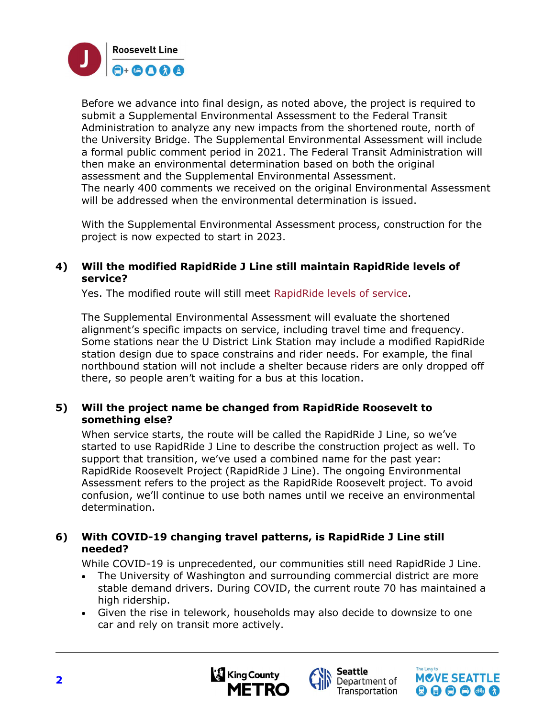

Before we advance into final design, as noted above, the project is required to submit a Supplemental Environmental Assessment to the Federal Transit Administration to analyze any new impacts from the shortened route, north of the University Bridge. The Supplemental Environmental Assessment will include a formal public comment period in 2021. The Federal Transit Administration will then make an environmental determination based on both the original assessment and the Supplemental Environmental Assessment. The nearly 400 comments we received on the original Environmental Assessment will be addressed when the environmental determination is issued.

With the Supplemental Environmental Assessment process, construction for the project is now expected to start in 2023.

#### 4) Will the modified RapidRide J Line still maintain RapidRide levels of service?

Yes. The modified route will still meet RapidRide levels of service.

The Supplemental Environmental Assessment will evaluate the shortened alignment's specific impacts on service, including travel time and frequency. Some stations near the U District Link Station may include a modified RapidRide station design due to space constrains and rider needs. For example, the final northbound station will not include a shelter because riders are only dropped off there, so people aren't waiting for a bus at this location.

# 5) Will the project name be changed from RapidRide Roosevelt to something else?

When service starts, the route will be called the RapidRide J Line, so we've started to use RapidRide J Line to describe the construction project as well. To support that transition, we've used a combined name for the past year: RapidRide Roosevelt Project (RapidRide J Line). The ongoing Environmental Assessment refers to the project as the RapidRide Roosevelt project. To avoid confusion, we'll continue to use both names until we receive an environmental determination.

# 6) With COVID-19 changing travel patterns, is RapidRide J Line still needed?

While COVID-19 is unprecedented, our communities still need RapidRide J Line.

- The University of Washington and surrounding commercial district are more stable demand drivers. During COVID, the current route 70 has maintained a high ridership.
- Given the rise in telework, households may also decide to downsize to one car and rely on transit more actively.





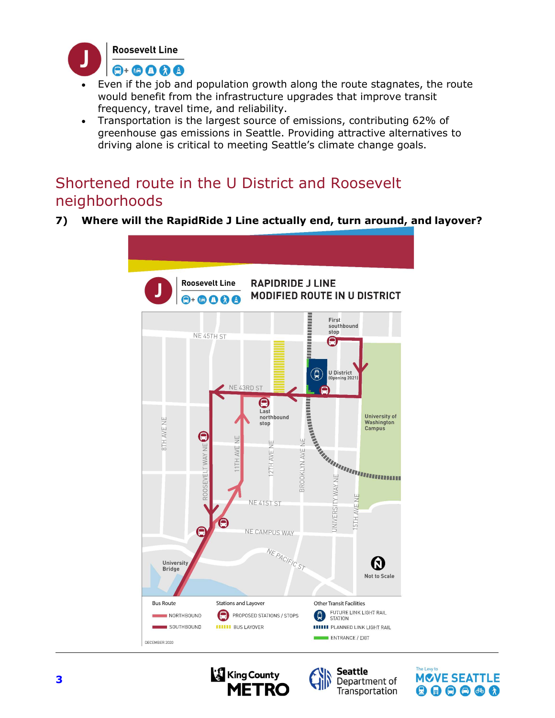

- Even if the job and population growth along the route stagnates, the route would benefit from the infrastructure upgrades that improve transit frequency, travel time, and reliability.
- Transportation is the largest source of emissions, contributing 62% of greenhouse gas emissions in Seattle. Providing attractive alternatives to driving alone is critical to meeting Seattle's climate change goals.

# Shortened route in the U District and Roosevelt neighborhoods

7) Where will the RapidRide J Line actually end, turn around, and layover?





**Seattle** 

Department of

Transportation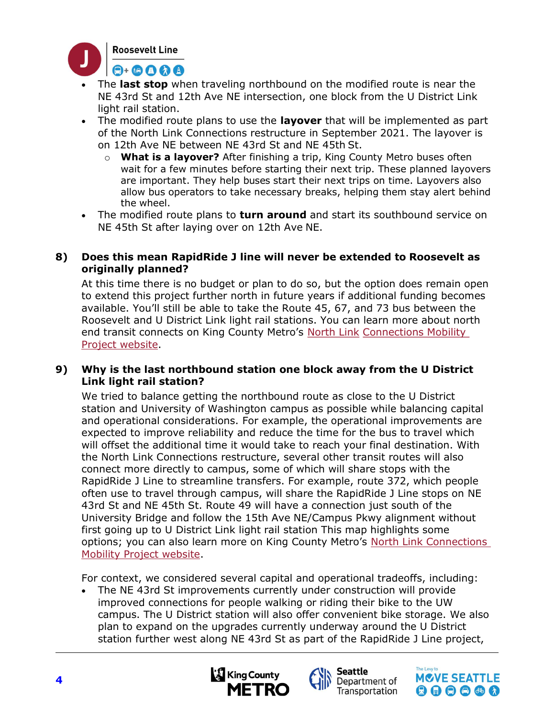

- The last stop when traveling northbound on the modified route is near the NE 43rd St and 12th Ave NE intersection, one block from the U District Link light rail station.
- The modified route plans to use the layover that will be implemented as part of the North Link Connections restructure in September 2021. The layover is on 12th Ave NE between NE 43rd St and NE 45th St.
	- $\circ$  What is a layover? After finishing a trip, King County Metro buses often wait for a few minutes before starting their next trip. These planned layovers are important. They help buses start their next trips on time. Layovers also allow bus operators to take necessary breaks, helping them stay alert behind the wheel.
- The modified route plans to **turn around** and start its southbound service on NE 45th St after laying over on 12th Ave NE.

#### 8) Does this mean RapidRide J line will never be extended to Roosevelt as originally planned?

At this time there is no budget or plan to do so, but the option does remain open to extend this project further north in future years if additional funding becomes available. You'll still be able to take the Route 45, 67, and 73 bus between the Roosevelt and U District Link light rail stations. You can learn more about north end transit connects on King County Metro's North Link Connections Mobility Project website.

# 9) Why is the last northbound station one block away from the U District Link light rail station?

We tried to balance getting the northbound route as close to the U District station and University of Washington campus as possible while balancing capital and operational considerations. For example, the operational improvements are expected to improve reliability and reduce the time for the bus to travel which will offset the additional time it would take to reach your final destination. With the North Link Connections restructure, several other transit routes will also connect more directly to campus, some of which will share stops with the RapidRide J Line to streamline transfers. For example, route 372, which people often use to travel through campus, will share the RapidRide J Line stops on NE 43rd St and NE 45th St. Route 49 will have a connection just south of the University Bridge and follow the 15th Ave NE/Campus Pkwy alignment without first going up to U District Link light rail station This map highlights some options; you can also learn more on King County Metro's North Link Connections Mobility Project website.

For context, we considered several capital and operational tradeoffs, including:

 The NE 43rd St improvements currently under construction will provide improved connections for people walking or riding their bike to the UW campus. The U District station will also offer convenient bike storage. We also plan to expand on the upgrades currently underway around the U District station further west along NE 43rd St as part of the RapidRide J Line project,





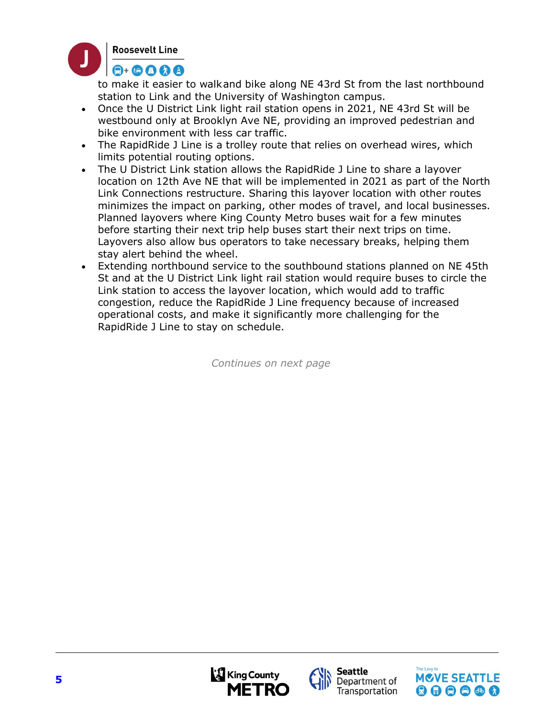

to make it easier to walk and bike along NE 43rd St from the last northbound station to Link and the University of Washington campus.

- Once the U District Link light rail station opens in 2021, NE 43rd St will be westbound only at Brooklyn Ave NE, providing an improved pedestrian and bike environment with less car traffic.
- The RapidRide J Line is a trolley route that relies on overhead wires, which limits potential routing options.
- The U District Link station allows the RapidRide J Line to share a layover location on 12th Ave NE that will be implemented in 2021 as part of the North Link Connections restructure. Sharing this layover location with other routes minimizes the impact on parking, other modes of travel, and local businesses. Planned layovers where King County Metro buses wait for a few minutes before starting their next trip help buses start their next trips on time. Layovers also allow bus operators to take necessary breaks, helping them stay alert behind the wheel.
- Extending northbound service to the southbound stations planned on NE 45th St and at the U District Link light rail station would require buses to circle the Link station to access the layover location, which would add to traffic congestion, reduce the RapidRide J Line frequency because of increased operational costs, and make it significantly more challenging for the RapidRide J Line to stay on schedule.

Continues on next page





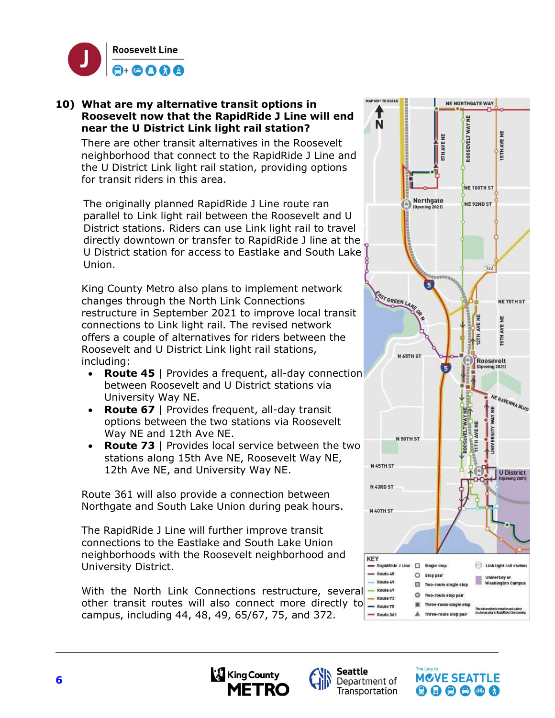

#### 10) What are my alternative transit options in Roosevelt now that the RapidRide J Line will end near the U District Link light rail station?

There are other transit alternatives in the Roosevelt neighborhood that connect to the RapidRide J Line and the U District Link light rail station, providing options for transit riders in this area.

The originally planned RapidRide J Line route ran parallel to Link light rail between the Roosevelt and U District stations. Riders can use Link light rail to travel directly downtown or transfer to RapidRide J line at the U District station for access to Eastlake and South Lake Union.

King County Metro also plans to implement network changes through the North Link Connections restructure in September 2021 to improve local transit connections to Link light rail. The revised network offers a couple of alternatives for riders between the Roosevelt and U District Link light rail stations, including:

- Route 45 | Provides a frequent, all-day connection between Roosevelt and U District stations via University Way NE.
- Route 67 | Provides frequent, all-day transit options between the two stations via Roosevelt Way NE and 12th Ave NE.
- Route 73 | Provides local service between the two stations along 15th Ave NE, Roosevelt Way NE, 12th Ave NE, and University Way NE.

Route 361 will also provide a connection between Northgate and South Lake Union during peak hours.

The RapidRide J Line will further improve transit connections to the Eastlake and South Lake Union neighborhoods with the Roosevelt neighborhood and University District.

With the North Link Connections restructure, several <sup>- Route 67</sup> other transit routes will also connect more directly to  $\frac{1}{2}$  Route 75 campus, including 44, 48, 49, 65/67, 75, and 372.







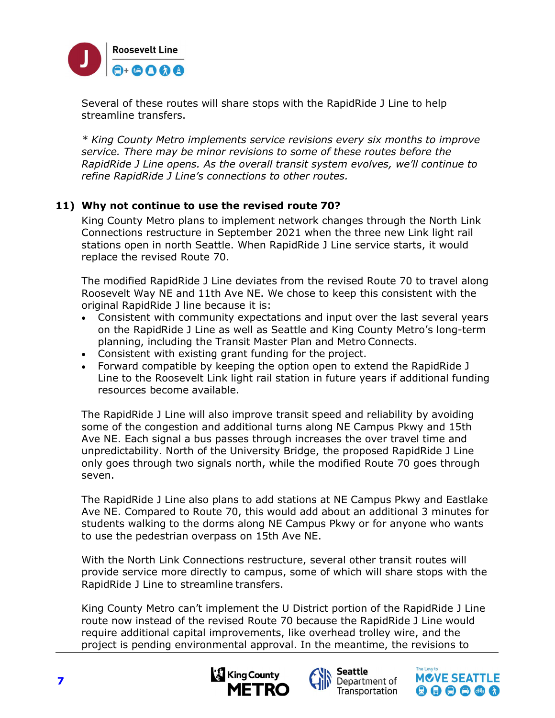

Several of these routes will share stops with the RapidRide J Line to help streamline transfers.

\* King County Metro implements service revisions every six months to improve service. There may be minor revisions to some of these routes before the RapidRide J Line opens. As the overall transit system evolves, we'll continue to refine RapidRide J Line's connections to other routes.

# 11) Why not continue to use the revised route 70?

King County Metro plans to implement network changes through the North Link Connections restructure in September 2021 when the three new Link light rail stations open in north Seattle. When RapidRide J Line service starts, it would replace the revised Route 70.

The modified RapidRide J Line deviates from the revised Route 70 to travel along Roosevelt Way NE and 11th Ave NE. We chose to keep this consistent with the original RapidRide J line because it is:

- Consistent with community expectations and input over the last several years on the RapidRide J Line as well as Seattle and King County Metro's long-term planning, including the Transit Master Plan and Metro Connects.
- Consistent with existing grant funding for the project.
- Forward compatible by keeping the option open to extend the RapidRide J Line to the Roosevelt Link light rail station in future years if additional funding resources become available.

The RapidRide J Line will also improve transit speed and reliability by avoiding some of the congestion and additional turns along NE Campus Pkwy and 15th Ave NE. Each signal a bus passes through increases the over travel time and unpredictability. North of the University Bridge, the proposed RapidRide J Line only goes through two signals north, while the modified Route 70 goes through seven.

The RapidRide J Line also plans to add stations at NE Campus Pkwy and Eastlake Ave NE. Compared to Route 70, this would add about an additional 3 minutes for students walking to the dorms along NE Campus Pkwy or for anyone who wants to use the pedestrian overpass on 15th Ave NE.

With the North Link Connections restructure, several other transit routes will provide service more directly to campus, some of which will share stops with the RapidRide J Line to streamline transfers.

King County Metro can't implement the U District portion of the RapidRide J Line route now instead of the revised Route 70 because the RapidRide J Line would require additional capital improvements, like overhead trolley wire, and the project is pending environmental approval. In the meantime, the revisions to





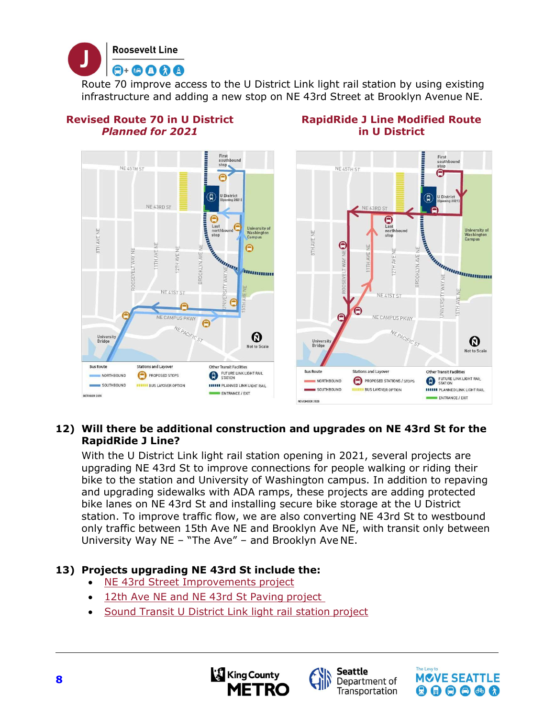

Route 70 improve access to the U District Link light rail station by using existing infrastructure and adding a new stop on NE 43rd Street at Brooklyn Avenue NE.

> RapidRide J Line Modified Route in U District

# Revised Route 70 in U District Planned for 2021



# 12) Will there be additional construction and upgrades on NE 43rd St for the RapidRide J Line?

With the U District Link light rail station opening in 2021, several projects are upgrading NE 43rd St to improve connections for people walking or riding their bike to the station and University of Washington campus. In addition to repaving and upgrading sidewalks with ADA ramps, these projects are adding protected bike lanes on NE 43rd St and installing secure bike storage at the U District station. To improve traffic flow, we are also converting NE 43rd St to westbound only traffic between 15th Ave NE and Brooklyn Ave NE, with transit only between University Way NE – "The Ave" – and Brooklyn Ave NE.

# 13) Projects upgrading NE 43rd St include the:

- NE 43rd Street Improvements project
- 12th Ave NE and NE 43rd St Paving project
- Sound Transit U District Link light rail station project





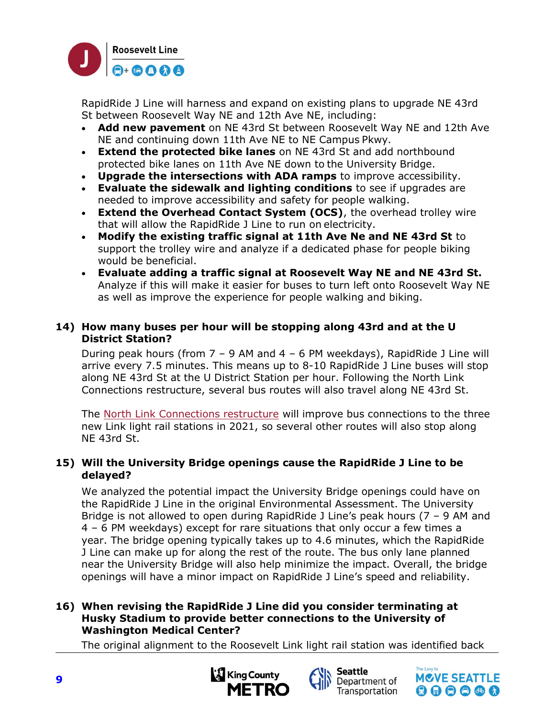

RapidRide J Line will harness and expand on existing plans to upgrade NE 43rd St between Roosevelt Way NE and 12th Ave NE, including:

- Add new pavement on NE 43rd St between Roosevelt Way NE and 12th Ave NE and continuing down 11th Ave NE to NE Campus Pkwy.
- Extend the protected bike lanes on NE 43rd St and add northbound protected bike lanes on 11th Ave NE down to the University Bridge.
- Upgrade the intersections with ADA ramps to improve accessibility.
- Evaluate the sidewalk and lighting conditions to see if upgrades are needed to improve accessibility and safety for people walking.
- Extend the Overhead Contact System (OCS), the overhead trolley wire that will allow the RapidRide J Line to run on electricity.
- $\cdot$  Modify the existing traffic signal at 11th Ave Ne and NE 43rd St to support the trolley wire and analyze if a dedicated phase for people biking would be beneficial.
- Evaluate adding a traffic signal at Roosevelt Way NE and NE 43rd St. Analyze if this will make it easier for buses to turn left onto Roosevelt Way NE as well as improve the experience for people walking and biking.

# 14) How many buses per hour will be stopping along 43rd and at the U District Station?

During peak hours (from  $7 - 9$  AM and  $4 - 6$  PM weekdays), RapidRide J Line will arrive every 7.5 minutes. This means up to 8-10 RapidRide J Line buses will stop along NE 43rd St at the U District Station per hour. Following the North Link Connections restructure, several bus routes will also travel along NE 43rd St.

The North Link Connections restructure will improve bus connections to the three new Link light rail stations in 2021, so several other routes will also stop along NE 43rd St.

# 15) Will the University Bridge openings cause the RapidRide J Line to be delayed?

We analyzed the potential impact the University Bridge openings could have on the RapidRide J Line in the original Environmental Assessment. The University Bridge is not allowed to open during RapidRide J Line's peak hours (7 – 9 AM and 4 – 6 PM weekdays) except for rare situations that only occur a few times a year. The bridge opening typically takes up to 4.6 minutes, which the RapidRide J Line can make up for along the rest of the route. The bus only lane planned near the University Bridge will also help minimize the impact. Overall, the bridge openings will have a minor impact on RapidRide J Line's speed and reliability.

#### 16) When revising the RapidRide J Line did you consider terminating at Husky Stadium to provide better connections to the University of Washington Medical Center?

The original alignment to the Roosevelt Link light rail station was identified back





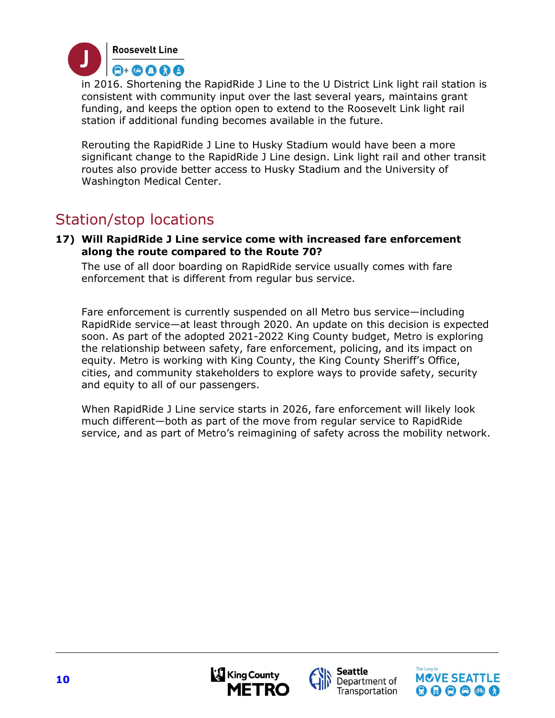

in 2016. Shortening the RapidRide J Line to the U District Link light rail station is consistent with community input over the last several years, maintains grant funding, and keeps the option open to extend to the Roosevelt Link light rail station if additional funding becomes available in the future.

Rerouting the RapidRide J Line to Husky Stadium would have been a more significant change to the RapidRide J Line design. Link light rail and other transit routes also provide better access to Husky Stadium and the University of Washington Medical Center.

# Station/stop locations

17) Will RapidRide J Line service come with increased fare enforcement along the route compared to the Route 70?

The use of all door boarding on RapidRide service usually comes with fare enforcement that is different from regular bus service.

Fare enforcement is currently suspended on all Metro bus service—including RapidRide service—at least through 2020. An update on this decision is expected soon. As part of the adopted 2021-2022 King County budget, Metro is exploring the relationship between safety, fare enforcement, policing, and its impact on equity. Metro is working with King County, the King County Sheriff's Office, cities, and community stakeholders to explore ways to provide safety, security and equity to all of our passengers.

When RapidRide J Line service starts in 2026, fare enforcement will likely look much different—both as part of the move from regular service to RapidRide service, and as part of Metro's reimagining of safety across the mobility network.





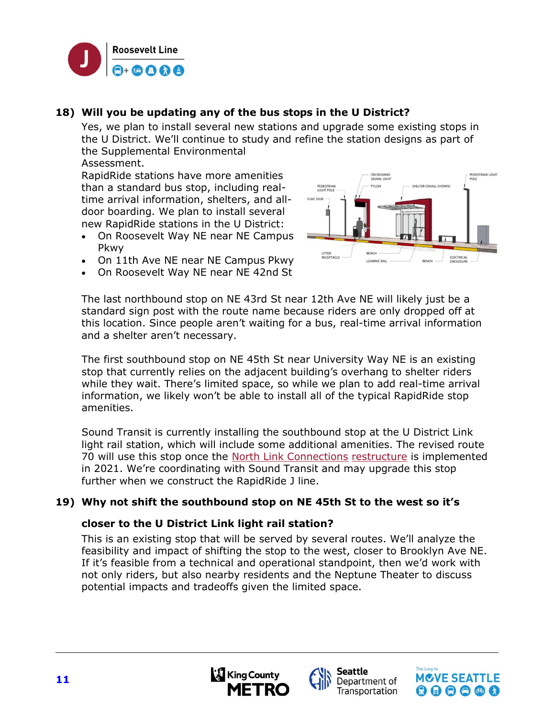

# 18) Will you be updating any of the bus stops in the U District?

Yes, we plan to install several new stations and upgrade some existing stops in the U District. We'll continue to study and refine the station designs as part of the Supplemental Environmental

Assessment.

RapidRide stations have more amenities than a standard bus stop, including realtime arrival information, shelters, and alldoor boarding. We plan to install several new RapidRide stations in the U District:

- On Roosevelt Way NE near NE Campus Pkwy
- On 11th Ave NE near NE Campus Pkwy
- On Roosevelt Way NE near NE 42nd St



The last northbound stop on NE 43rd St near 12th Ave NE will likely just be a standard sign post with the route name because riders are only dropped off at this location. Since people aren't waiting for a bus, real-time arrival information and a shelter aren't necessary.

The first southbound stop on NE 45th St near University Way NE is an existing stop that currently relies on the adjacent building's overhang to shelter riders while they wait. There's limited space, so while we plan to add real-time arrival information, we likely won't be able to install all of the typical RapidRide stop amenities.

Sound Transit is currently installing the southbound stop at the U District Link light rail station, which will include some additional amenities. The revised route 70 will use this stop once the North Link Connections restructure is implemented in 2021. We're coordinating with Sound Transit and may upgrade this stop further when we construct the RapidRide J line.

#### 19) Why not shift the southbound stop on NE 45th St to the west so it's

#### closer to the U District Link light rail station?

This is an existing stop that will be served by several routes. We'll analyze the feasibility and impact of shifting the stop to the west, closer to Brooklyn Ave NE. If it's feasible from a technical and operational standpoint, then we'd work with not only riders, but also nearby residents and the Neptune Theater to discuss potential impacts and tradeoffs given the limited space.





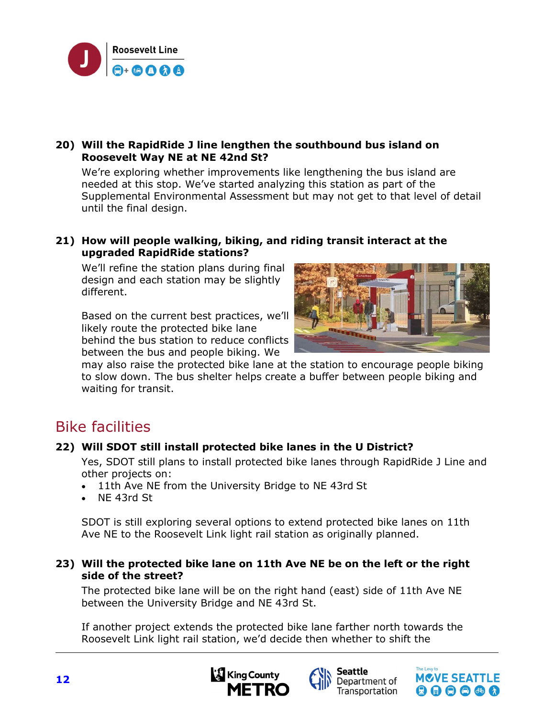

# 20) Will the RapidRide J line lengthen the southbound bus island on Roosevelt Way NE at NE 42nd St?

We're exploring whether improvements like lengthening the bus island are needed at this stop. We've started analyzing this station as part of the Supplemental Environmental Assessment but may not get to that level of detail until the final design.

#### 21) How will people walking, biking, and riding transit interact at the upgraded RapidRide stations?

We'll refine the station plans during final design and each station may be slightly different.

Based on the current best practices, we'll likely route the protected bike lane behind the bus station to reduce conflicts between the bus and people biking. We



may also raise the protected bike lane at the station to encourage people biking to slow down. The bus shelter helps create a buffer between people biking and waiting for transit.

# Bike facilities

# 22) Will SDOT still install protected bike lanes in the U District?

Yes, SDOT still plans to install protected bike lanes through RapidRide J Line and other projects on:

- 11th Ave NE from the University Bridge to NE 43rd St
- NE 43rd St

SDOT is still exploring several options to extend protected bike lanes on 11th Ave NE to the Roosevelt Link light rail station as originally planned.

# 23) Will the protected bike lane on 11th Ave NE be on the left or the right side of the street?

The protected bike lane will be on the right hand (east) side of 11th Ave NE between the University Bridge and NE 43rd St.

If another project extends the protected bike lane farther north towards the Roosevelt Link light rail station, we'd decide then whether to shift the





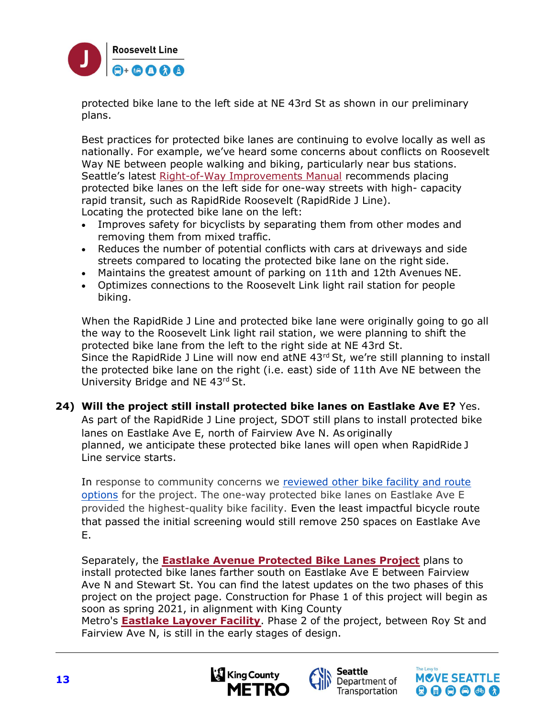

protected bike lane to the left side at NE 43rd St as shown in our preliminary plans.

Best practices for protected bike lanes are continuing to evolve locally as well as nationally. For example, we've heard some concerns about conflicts on Roosevelt Way NE between people walking and biking, particularly near bus stations. Seattle's latest Right-of-Way Improvements Manual recommends placing protected bike lanes on the left side for one-way streets with high- capacity rapid transit, such as RapidRide Roosevelt (RapidRide J Line). Locating the protected bike lane on the left:

- Improves safety for bicyclists by separating them from other modes and removing them from mixed traffic.
- Reduces the number of potential conflicts with cars at driveways and side streets compared to locating the protected bike lane on the right side.
- Maintains the greatest amount of parking on 11th and 12th Avenues NE.
- Optimizes connections to the Roosevelt Link light rail station for people biking.

When the RapidRide J Line and protected bike lane were originally going to go all the way to the Roosevelt Link light rail station, we were planning to shift the protected bike lane from the left to the right side at NE 43rd St. Since the RapidRide J Line will now end atNE  $43<sup>rd</sup>$  St, we're still planning to install the protected bike lane on the right (i.e. east) side of 11th Ave NE between the University Bridge and NE 43rd St.

# 24) Will the project still install protected bike lanes on Eastlake Ave E? Yes.

As part of the RapidRide J Line project, SDOT still plans to install protected bike lanes on Eastlake Ave E, north of Fairview Ave N. As originally planned, we anticipate these protected bike lanes will open when RapidRide J Line service starts.

In [response to community concerns we reviewed other bike facility and route](http://www.seattle.gov/Documents/Departments/SDOT/TransitProgram/RapidRide/Roosevelt/RapidRideRoosevelt_Eastlake_Bicycle_Facility_Evaluation.pdf)  options for the project. The one-way protected bike lanes on Eastlake Ave E provided the highest-quality bike facility. Even the least impactful bicycle route that passed the initial screening would still remove 250 spaces on Eastlake Ave E.

Separately, the **Eastlake Avenue Protected Bike Lanes Project** plans to install protected bike lanes farther south on Eastlake Ave E between Fairview Ave N and Stewart St. You can find the latest updates on the two phases of this project on the project page. Construction for Phase 1 of this project will begin as soon as spring 2021, in alignment with King County

Metro's Eastlake Layover Facility. Phase 2 of the project, between Roy St and Fairview Ave N, is still in the early stages of design.





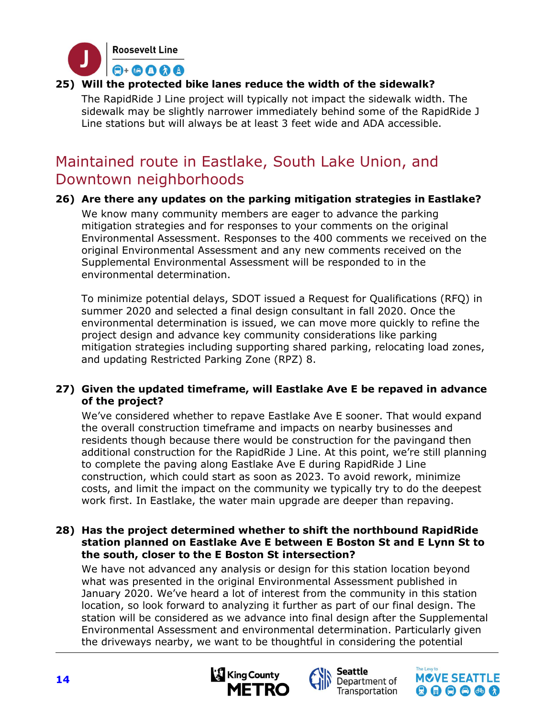

# 25) Will the protected bike lanes reduce the width of the sidewalk?

The RapidRide J Line project will typically not impact the sidewalk width. The sidewalk may be slightly narrower immediately behind some of the RapidRide J Line stations but will always be at least 3 feet wide and ADA accessible.

# Maintained route in Eastlake, South Lake Union, and Downtown neighborhoods

# 26) Are there any updates on the parking mitigation strategies in Eastlake?

We know many community members are eager to advance the parking mitigation strategies and for responses to your comments on the original Environmental Assessment. Responses to the 400 comments we received on the original Environmental Assessment and any new comments received on the Supplemental Environmental Assessment will be responded to in the environmental determination.

To minimize potential delays, SDOT issued a Request for Qualifications (RFQ) in summer 2020 and selected a final design consultant in fall 2020. Once the environmental determination is issued, we can move more quickly to refine the project design and advance key community considerations like parking mitigation strategies including supporting shared parking, relocating load zones, and updating Restricted Parking Zone (RPZ) 8.

# 27) Given the updated timeframe, will Eastlake Ave E be repaved in advance of the project?

We've considered whether to repave Eastlake Ave E sooner. That would expand the overall construction timeframe and impacts on nearby businesses and residents though because there would be construction for the pavingand then additional construction for the RapidRide J Line. At this point, we're still planning to complete the paving along Eastlake Ave E during RapidRide J Line construction, which could start as soon as 2023. To avoid rework, minimize costs, and limit the impact on the community we typically try to do the deepest work first. In Eastlake, the water main upgrade are deeper than repaving.

#### 28) Has the project determined whether to shift the northbound RapidRide station planned on Eastlake Ave E between E Boston St and E Lynn St to the south, closer to the E Boston St intersection?

We have not advanced any analysis or design for this station location beyond what was presented in the original Environmental Assessment published in January 2020. We've heard a lot of interest from the community in this station location, so look forward to analyzing it further as part of our final design. The station will be considered as we advance into final design after the Supplemental Environmental Assessment and environmental determination. Particularly given the driveways nearby, we want to be thoughtful in considering the potential